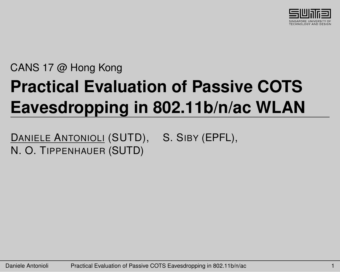

# CANS 17 @ Hong Kong **Practical Evaluation of Passive COTS Eavesdropping in 802.11b/n/ac WLAN**

DANIELE ANTONIOLI (SUTD), S. SIBY (EPFL). N. O. TIPPENHAUER (SUTD)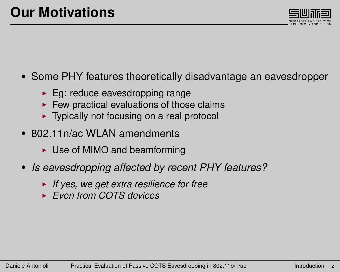

- <span id="page-1-0"></span>• Some PHY features theoretically disadvantage an eavesdropper
	- $\blacktriangleright$  Eg: reduce eavesdropping range
	- $\blacktriangleright$  Few practical evaluations of those claims
	- $\blacktriangleright$  Typically not focusing on a real protocol
- 802.11n/ac WLAN amendments
	- $\triangleright$  Use of MIMO and beamforming
- *Is eavesdropping affected by recent PHY features?*
	- ► If yes, we get extra resilience for free
	- <sup>I</sup> *Even from COTS devices*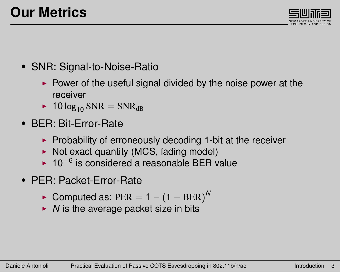

- SNR: Signal-to-Noise-Ratio
	- $\triangleright$  Power of the useful signal divided by the noise power at the receiver
	- $\blacktriangleright$  10 log<sub>10</sub> SNR = SNR<sub>dB</sub>
- BER: Bit-Error-Rate
	- $\triangleright$  Probability of erroneously decoding 1-bit at the receiver
	- $\triangleright$  Not exact quantity (MCS, fading model)
	- ► 10<sup>-6</sup> is considered a reasonable BER value
- PER: Packet-Error-Rate
	- $\blacktriangleright$  Computed as: PER = 1 (1 BER)<sup>^</sup>
	- $\triangleright$  *N* is the average packet size in bits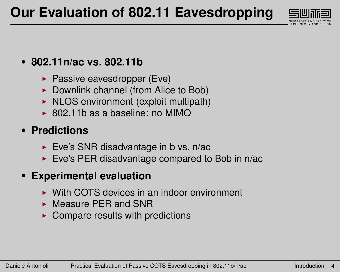

#### • **802.11n/ac vs. 802.11b**

- $\blacktriangleright$  Passive eavesdropper (Eve)
- $\triangleright$  Downlink channel (from Alice to Bob)
- $\triangleright$  NLOS environment (exploit multipath)
- $\triangleright$  802.11b as a baseline: no MIMO

#### • **Predictions**

- Eve's SNR disadvantage in b vs.  $n/ac$
- $\triangleright$  Eve's PER disadvantage compared to Bob in n/ac

#### • **Experimental evaluation**

- $\triangleright$  With COTS devices in an indoor environment
- $\triangleright$  Measure PER and SNR
- $\triangleright$  Compare results with predictions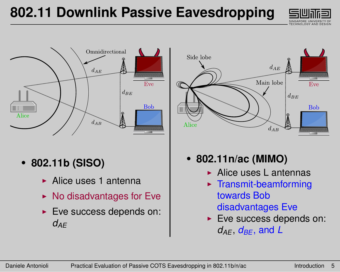



• **802.11b (SISO)**

- $\blacktriangleright$  Alice uses 1 antenna
- $\triangleright$  No disadvantages for Eve
- $\blacktriangleright$  Eve success depends on:  $d$ *AE*



- **802.11n/ac (MIMO)**
	- $\blacktriangleright$  Alice uses L antennas
	- $\blacktriangleright$  Transmit-beamforming towards Bob disadvantages Eve
	- $\blacktriangleright$  Eve success depends on:  $d_{AF}$ ,  $d_{BF}$ , and  $L$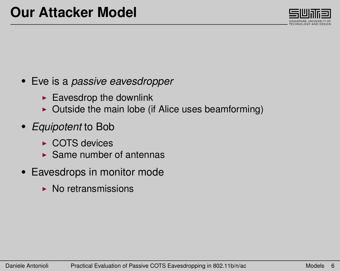

#### <span id="page-5-0"></span>• Eve is a *passive eavesdropper*

- $\blacktriangleright$  Eavesdrop the downlink
- $\triangleright$  Outside the main lobe (if Alice uses beamforming)
- *Equipotent* to Bob
	- $\triangleright$  COTS devices
	- $\triangleright$  Same number of antennas
- Eavesdrops in monitor mode
	- $\triangleright$  No retransmissions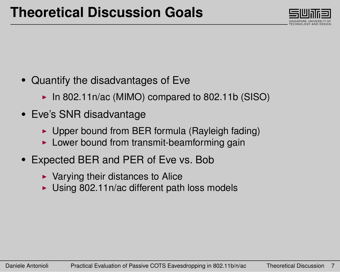

- <span id="page-6-0"></span>• Quantify the disadvantages of Eve
	- $\blacktriangleright$  In 802.11n/ac (MIMO) compared to 802.11b (SISO)
- Eve's SNR disadvantage
	- $\triangleright$  Upper bound from BER formula (Rayleigh fading)
	- $\blacktriangleright$  Lower bound from transmit-beamforming gain
- Expected BER and PER of Eve vs. Bob
	- $\blacktriangleright$  Varying their distances to Alice
	- $\blacktriangleright$  Using 802.11n/ac different path loss models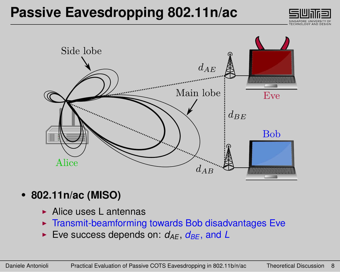### **Passive Eavesdropping 802.11n/ac**





- **802.11n/ac (MISO)**
	- $\blacktriangleright$  Alice uses L antennas
	- $\triangleright$  Transmit-beamforming towards Bob disadvantages Eve
	- $\triangleright$  Eve success depends on:  $d_{AF}$ ,  $d_{BF}$ , and L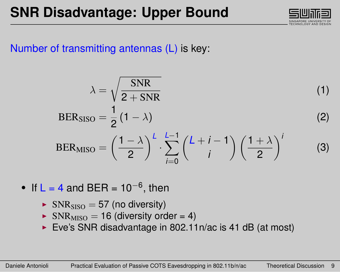

#### Number of transmitting antennas (L) is key:

$$
\lambda = \sqrt{\frac{\text{SNR}}{2 + \text{SNR}}}
$$
\n
$$
BER_{\text{SISO}} = \frac{1}{2} (1 - \lambda)
$$
\n(2)

$$
BER_{MISO} = \left(\frac{1-\lambda}{2}\right)^{L} \cdot \sum_{i=0}^{L-1} {L+i-1 \choose i} \left(\frac{1+\lambda}{2}\right)^{i} \tag{3}
$$

- If  $L = 4$  and BER = 10<sup>-6</sup>, then
	- $\triangleright$  SNR<sub>SISO</sub> = 57 (no diversity)
	- $\triangleright$  SNR<sub>MISO</sub> = 16 (diversity order = 4)
	- Eve's SNR disadvantage in 802.11n/ac is 41 dB (at most)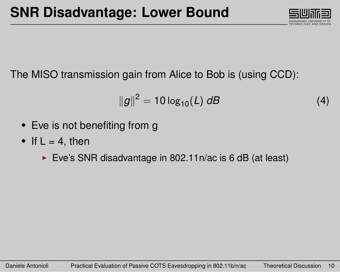

The MISO transmission gain from Alice to Bob is (using CCD):

$$
||g||^2 = 10 \log_{10}(L) \, dB \tag{4}
$$

- Eve is not benefiting from g
- If  $L = 4$ , then
	- Eve's SNR disadvantage in 802.11n/ac is 6 dB (at least)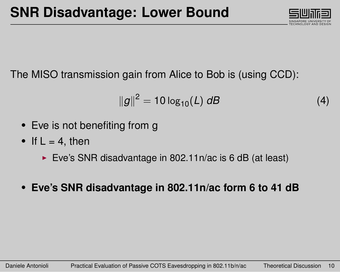

The MISO transmission gain from Alice to Bob is (using CCD):

$$
||g||^2 = 10 \log_{10}(L) \, dB \tag{4}
$$

- Eve is not benefiting from g
- If  $L = 4$ , then
	- Eve's SNR disadvantage in 802.11n/ac is 6 dB (at least)
- **Eve's SNR disadvantage in 802.11n/ac form 6 to 41 dB**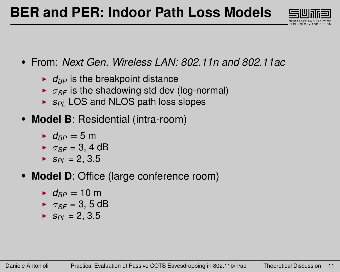

- From: *Next Gen. Wireless LAN: 802.11n and 802.11ac*
	- $\rightarrow$   $d_{BP}$  is the breakpoint distance
	- $\rightarrow \sigma_{SF}$  is the shadowing std dev (log-normal)
	- ▶ *S<sub>PL</sub>* LOS and NLOS path loss slopes
- **Model B**: Residential (intra-room)
	- $\rightarrow$  *d<sub>PP</sub>* = 5 m
	- $\rightarrow \sigma_{SF} = 3, 4 \text{ dB}$
	- $S_{Pl} = 2, 3.5$
- **Model D**: Office (large conference room)
	- $\rightarrow$  *d<sub>BP</sub>* = 10 m
	- $\triangleright$   $\sigma_{SF} = 3, 5$  dB
	- $S_{PI} = 2, 3.5$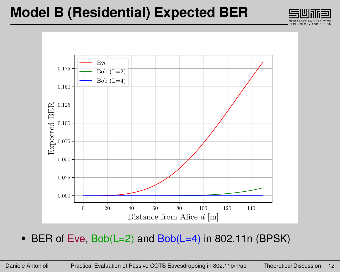### **Model B (Residential) Expected BER**





• BER of Eve, Bob(L=2) and Bob(L=4) in 802.11n (BPSK)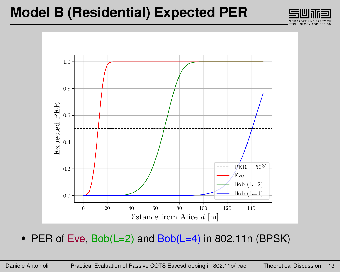### **Model B (Residential) Expected PER**





• PER of Eve,  $Bob(L=2)$  and  $Bob(L=4)$  in 802.11n (BPSK)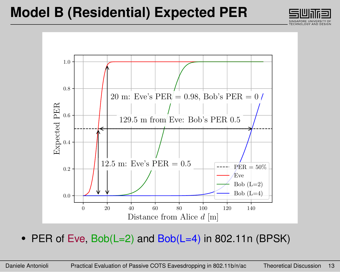### **Model B (Residential) Expected PER**





• PER of Eve,  $Bob(L=2)$  and  $Bob(L=4)$  in 802.11n (BPSK)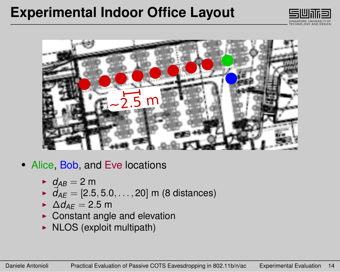### <span id="page-15-0"></span>**Experimental Indoor Office Layout**





- Alice, Bob, and Eve locations
	- $\blacktriangleright$  *d*<sub>*AB*</sub> = 2 m
	- $\vec{d}_{AE} = [2.5, 5.0, \dots, 20]$  m (8 distances)
	- $\triangle$ *d*<sub>AF</sub> = 2.5 m
	- $\triangleright$  Constant angle and elevation
	- $\triangleright$  NLOS (exploit multipath)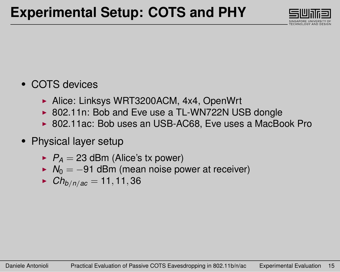

#### • COTS devices

- ▶ Alice: Linksys WRT3200ACM, 4x4, OpenWrt
- $\triangleright$  802.11n: Bob and Eve use a TL-WN722N USB dongle
- ▶ 802.11ac: Bob uses an USB-AC68, Eve uses a MacBook Pro
- Physical layer setup
	- $\blacktriangleright$   $P_A = 23$  dBm (Alice's tx power)
	- ►  $N_0 = -91$  dBm (mean noise power at receiver)
	- $\blacktriangleright$  *Ch*<sub>b/n/ac</sub> = 11, 11, 36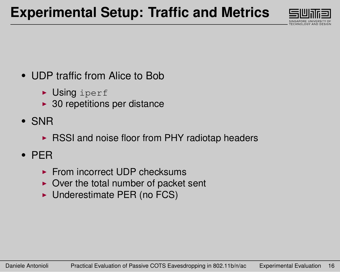

- UDP traffic from Alice to Bob
	- $\triangleright$  Using iperf
	- $\blacktriangleright$  30 repetitions per distance
- SNR
	- $\triangleright$  RSSI and noise floor from PHY radiotap headers
- PER
	- $\blacktriangleright$  From incorrect UDP checksums
	- $\triangleright$  Over the total number of packet sent
	- $\blacktriangleright$  Underestimate PER (no FCS)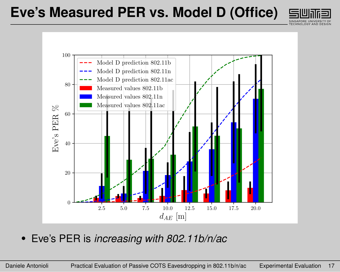### **Eve's Measured PER vs. Model D (Office)**





• Eve's PER is *increasing with 802.11b/n/ac*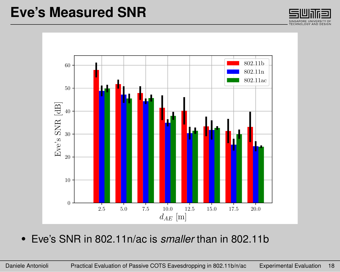### **Eve's Measured SNR**





• Eve's SNR in 802.11n/ac is *smaller* than in 802.11b

Daniele Antonioli Practical Evaluation of Passive COTS Eavesdropping in 802.11b/n/ac [Experimental Evaluation](#page-15-0) 18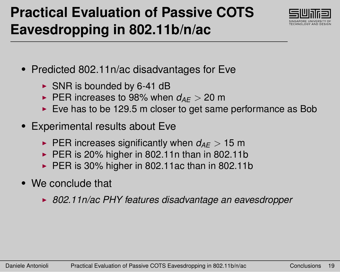# <span id="page-20-0"></span>**Practical Evaluation of Passive COTS Eavesdropping in 802.11b/n/ac**



- Predicted 802.11n/ac disadvantages for Eve
	- $\triangleright$  SNR is bounded by 6-41 dB
	- **PER increases to 98% when**  $d_{AE} > 20$  **m**
	- $\triangleright$  Eve has to be 129.5 m closer to get same performance as Bob
- Experimental results about Eve
	- **PER increases significantly when**  $d_{AF} > 15$  **m**
	- $\triangleright$  PER is 20% higher in 802.11n than in 802.11b
	- $\triangleright$  PER is 30% higher in 802.11ac than in 802.11b
- We conclude that
	- ▶ 802.11n/ac PHY features disadvantage an eavesdropper